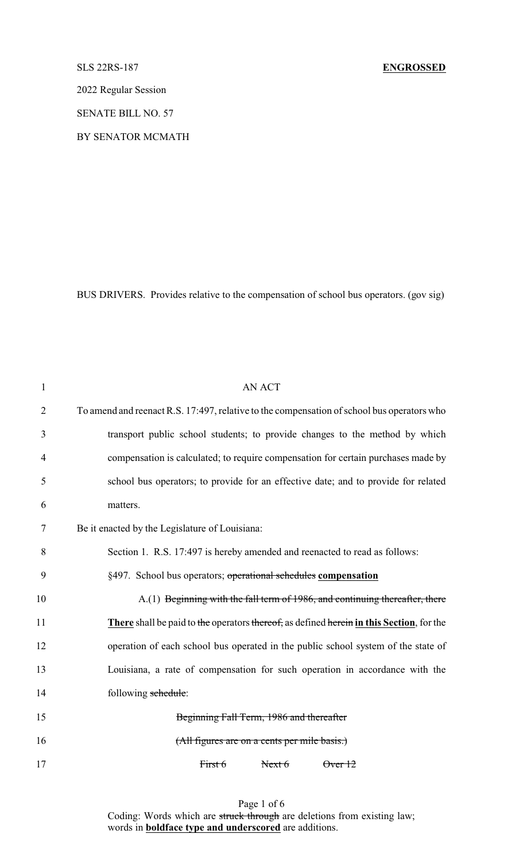# SLS 22RS-187 **ENGROSSED**

2022 Regular Session

SENATE BILL NO. 57

BY SENATOR MCMATH

BUS DRIVERS. Provides relative to the compensation of school bus operators. (gov sig)

| $\mathbf{1}$   | <b>AN ACT</b>                                                                              |  |  |  |  |  |  |  |
|----------------|--------------------------------------------------------------------------------------------|--|--|--|--|--|--|--|
| $\overline{2}$ | To amend and reenact R.S. 17:497, relative to the compensation of school bus operators who |  |  |  |  |  |  |  |
| 3              | transport public school students; to provide changes to the method by which                |  |  |  |  |  |  |  |
| 4              | compensation is calculated; to require compensation for certain purchases made by          |  |  |  |  |  |  |  |
| 5              | school bus operators; to provide for an effective date; and to provide for related         |  |  |  |  |  |  |  |
| 6              | matters.                                                                                   |  |  |  |  |  |  |  |
| 7              | Be it enacted by the Legislature of Louisiana:                                             |  |  |  |  |  |  |  |
| 8              | Section 1. R.S. 17:497 is hereby amended and reenacted to read as follows:                 |  |  |  |  |  |  |  |
| 9              | §497. School bus operators; operational schedules compensation                             |  |  |  |  |  |  |  |
| 10             | A.(1) Beginning with the fall term of 1986, and continuing thereafter, there               |  |  |  |  |  |  |  |
| 11             | There shall be paid to the operators thereof, as defined herein in this Section, for the   |  |  |  |  |  |  |  |
| 12             | operation of each school bus operated in the public school system of the state of          |  |  |  |  |  |  |  |
| 13             | Louisiana, a rate of compensation for such operation in accordance with the                |  |  |  |  |  |  |  |
| 14             | following schedule:                                                                        |  |  |  |  |  |  |  |
| 15             | Beginning Fall Term, 1986 and thereafter                                                   |  |  |  |  |  |  |  |
| 16             | (All figures are on a cents per mile basis.)                                               |  |  |  |  |  |  |  |
| 17             | First 6<br>Next 6<br>$\theta$ ver $12$                                                     |  |  |  |  |  |  |  |
|                |                                                                                            |  |  |  |  |  |  |  |

Page 1 of 6 Coding: Words which are struck through are deletions from existing law; words in **boldface type and underscored** are additions.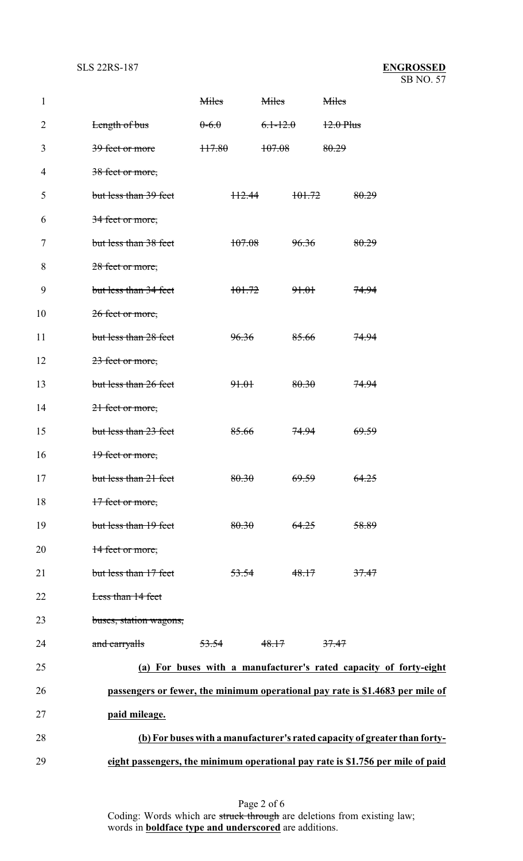| $\mathbf{1}$   |                        | Miles            |                  | <b>Miles</b>     |                  | Miles            |                                                                                |
|----------------|------------------------|------------------|------------------|------------------|------------------|------------------|--------------------------------------------------------------------------------|
| $\overline{2}$ | Length of bus          | $0-6.0$          |                  | $6.1 - 12.0$     |                  | $12.0$ Plus      |                                                                                |
| 3              | 39 feet or more        | 117.80           |                  | 107.08           |                  | 80.29            |                                                                                |
| 4              | 38 feet or more,       |                  |                  |                  |                  |                  |                                                                                |
| 5              | but less than 39 feet  |                  | H2.44            |                  | 101.72           |                  | 80.29                                                                          |
| 6              | 34 feet or more,       |                  |                  |                  |                  |                  |                                                                                |
| 7              | but less than 38 feet  |                  | 107.08           |                  | 96.36            |                  | 80.29                                                                          |
| 8              | 28 feet or more,       |                  |                  |                  |                  |                  |                                                                                |
| 9              | but less than 34 feet  |                  | 101.72           |                  | <del>91.01</del> |                  | <del>74.94</del>                                                               |
| 10             | 26 feet or more,       |                  |                  |                  |                  |                  |                                                                                |
| 11             | but less than 28 feet  |                  | 96.36            |                  | 85.66            |                  | <del>74.94</del>                                                               |
| 12             | 23 feet or more,       |                  |                  |                  |                  |                  |                                                                                |
| 13             | but less than 26 feet  |                  | 91.01            |                  | 80.30            |                  | <del>74.94</del>                                                               |
| 14             | 21 feet or more,       |                  |                  |                  |                  |                  |                                                                                |
| 15             | but less than 23 feet  |                  | 85.66            |                  | 74.94            |                  | <del>69.59</del>                                                               |
| 16             | 19 feet or more,       |                  |                  |                  |                  |                  |                                                                                |
| 17             | but less than 21 feet  |                  | 80.30            |                  | 69.59            |                  | 64.25                                                                          |
| 18             | 17 feet or more,       |                  |                  |                  |                  |                  |                                                                                |
| 19             | but less than 19 feet  |                  | 80.30            |                  | 64.25            |                  | 58.89                                                                          |
| 20             | 14 feet or more,       |                  |                  |                  |                  |                  |                                                                                |
| 21             | but less than 17 feet  |                  | <del>53.54</del> |                  | 48.17            |                  | 37.47                                                                          |
| 22             | Less than 14 feet      |                  |                  |                  |                  |                  |                                                                                |
| 23             | buses, station wagons, |                  |                  |                  |                  |                  |                                                                                |
| 24             | and carryalls          | <del>53.54</del> |                  | <del>48.17</del> |                  | <del>37.47</del> |                                                                                |
| 25             |                        |                  |                  |                  |                  |                  | (a) For buses with a manufacturer's rated capacity of forty-eight              |
| 26             |                        |                  |                  |                  |                  |                  | passengers or fewer, the minimum operational pay rate is \$1.4683 per mile of  |
| 27             | paid mileage.          |                  |                  |                  |                  |                  |                                                                                |
| 28             |                        |                  |                  |                  |                  |                  | (b) For buses with a manufacturer's rated capacity of greater than forty-      |
| 29             |                        |                  |                  |                  |                  |                  | eight passengers, the minimum operational pay rate is \$1.756 per mile of paid |

Page 2 of 6 Coding: Words which are struck through are deletions from existing law; words in **boldface type and underscored** are additions.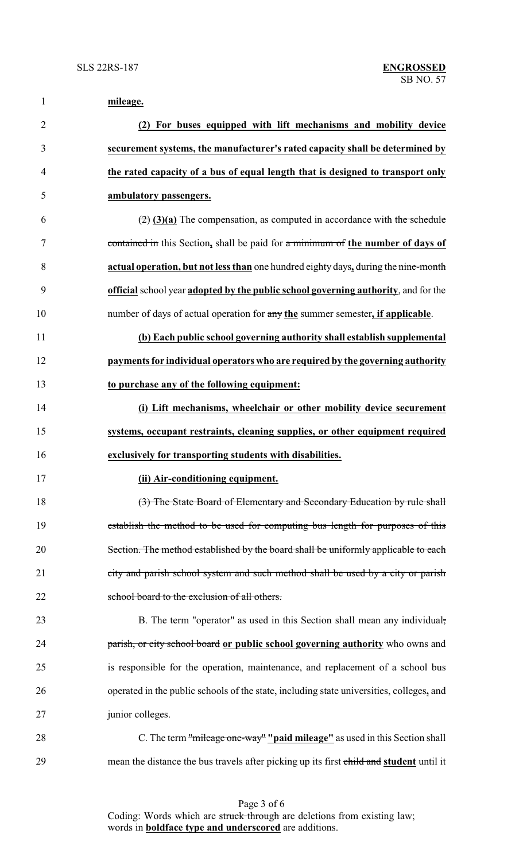| $\mathbf{1}$   | mileage.                                                                                        |
|----------------|-------------------------------------------------------------------------------------------------|
| $\overline{2}$ | (2) For buses equipped with lift mechanisms and mobility device                                 |
| 3              | securement systems, the manufacturer's rated capacity shall be determined by                    |
| $\overline{4}$ | the rated capacity of a bus of equal length that is designed to transport only                  |
| 5              | ambulatory passengers.                                                                          |
| 6              | $\left(\frac{2}{2}\right)$ (3)(a) The compensation, as computed in accordance with the schedule |
| 7              | contained in this Section, shall be paid for a minimum of the number of days of                 |
| 8              | actual operation, but not less than one hundred eighty days, during the nine-month              |
| 9              | official school year adopted by the public school governing authority, and for the              |
| 10             | number of days of actual operation for any the summer semester, if applicable.                  |
| 11             | (b) Each public school governing authority shall establish supplemental                         |
| 12             | payments for individual operators who are required by the governing authority                   |
| 13             | to purchase any of the following equipment:                                                     |
| 14             | (i) Lift mechanisms, wheelchair or other mobility device securement                             |
| 15             | systems, occupant restraints, cleaning supplies, or other equipment required                    |
| 16             | exclusively for transporting students with disabilities.                                        |
| 17             | (ii) Air-conditioning equipment.                                                                |
| 18             | (3) The State Board of Elementary and Secondary Education by rule shall                         |
| 19             | establish the method to be used for computing bus length for purposes of this                   |
| 20             | Section. The method established by the board shall be uniformly applicable to each              |
| 21             | city and parish school system and such method shall be used by a city or parish                 |
| 22             | school board to the exclusion of all others.                                                    |
| 23             | B. The term "operator" as used in this Section shall mean any individual,                       |
| 24             | parish, or city school board or public school governing authority who owns and                  |
| 25             | is responsible for the operation, maintenance, and replacement of a school bus                  |
| 26             | operated in the public schools of the state, including state universities, colleges, and        |
| 27             | junior colleges.                                                                                |
| 28             | C. The term "mileage one-way" "paid mileage" as used in this Section shall                      |
| 29             | mean the distance the bus travels after picking up its first child and student until it         |

Page 3 of 6 Coding: Words which are struck through are deletions from existing law; words in **boldface type and underscored** are additions.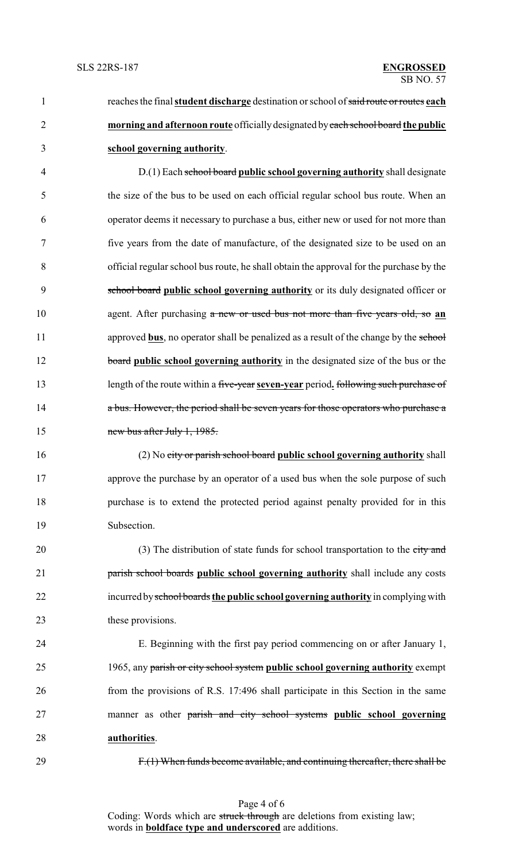reaches the final **student discharge** destination or school of said route or routes **each morning and afternoon route** officiallydesignated byeach school board **the public school governing authority**.

 D.(1) Each school board **public school governing authority** shall designate the size of the bus to be used on each official regular school bus route. When an operator deems it necessary to purchase a bus, either new or used for not more than five years from the date of manufacture, of the designated size to be used on an official regular school bus route, he shall obtain the approval for the purchase by the school board **public school governing authority** or its duly designated officer or agent. After purchasing a new or used bus not more than five years old, so **an** 11 approved **bus**, no operator shall be penalized as a result of the change by the school **board public school governing authority** in the designated size of the bus or the length of the route within a five-year **seven-year** period**.** following such purchase of **a bus. However, the period shall be seven years for those operators who purchase a** new bus after July 1, 1985.

 (2) No city or parish school board **public school governing authority** shall approve the purchase by an operator of a used bus when the sole purpose of such purchase is to extend the protected period against penalty provided for in this Subsection.

20 (3) The distribution of state funds for school transportation to the city and parish school boards **public school governing authority** shall include any costs incurred byschool boards **the public school governing authority** in complyingwith 23 these provisions.

 E. Beginning with the first pay period commencing on or after January 1, 1965, any parish or city school system **public school governing authority** exempt from the provisions of R.S. 17:496 shall participate in this Section in the same manner as other parish and city school systems **public school governing authorities**.

F.(1) When funds become available, and continuing thereafter, there shall be

Page 4 of 6 Coding: Words which are struck through are deletions from existing law; words in **boldface type and underscored** are additions.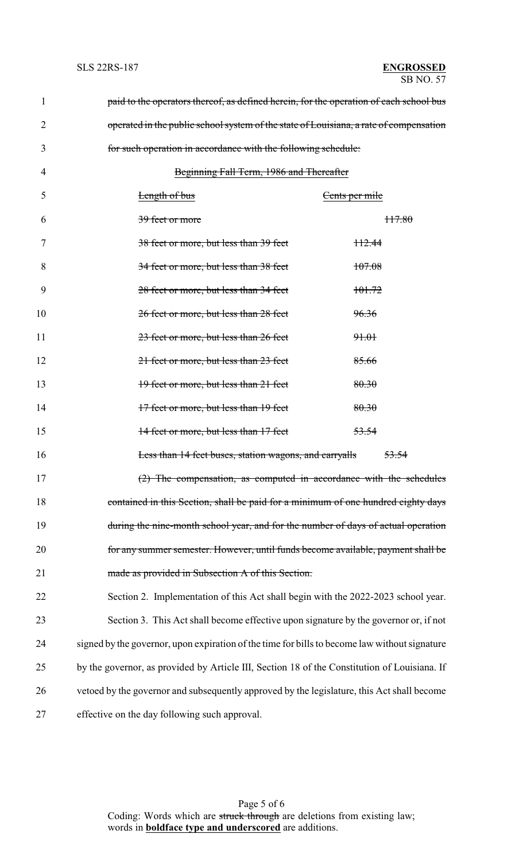| 1  | paid to the operators thereof, as defined herein, for the operation of each school bus        |
|----|-----------------------------------------------------------------------------------------------|
| 2  | operated in the public school system of the state of Louisiana, a rate of compensation        |
| 3  | for such operation in accordance with the following schedule:                                 |
| 4  | Beginning Fall Term, 1986 and Thereafter                                                      |
| 5  | <b>Length of bus</b><br>Cents per mile                                                        |
| 6  | 39 feet or more<br><del>117.80</del>                                                          |
| 7  | 38 feet or more, but less than 39 feet<br><del>112.44</del>                                   |
| 8  | 34 feet or more, but less than 38 feet<br>107.08                                              |
| 9  | 28 feet or more, but less than 34 feet<br><del>101.72</del>                                   |
| 10 | 96.36<br>26 feet or more, but less than 28 feet                                               |
| 11 | 23 feet or more, but less than 26 feet<br>91.01                                               |
| 12 | 21 feet or more, but less than 23 feet<br>85.66                                               |
| 13 | 80.30<br>19 feet or more, but less than 21 feet                                               |
| 14 | 17 feet or more, but less than 19 feet<br>80.30                                               |
| 15 | 14 feet or more, but less than 17 feet<br>53.54                                               |
| 16 | Less than 14 feet buses, station wagons, and carryalls<br><del>53.54</del>                    |
| 17 | The compensation, as computed in accordance with the schedules                                |
| 18 | contained in this Section, shall be paid for a minimum of one hundred eighty days             |
| 19 | during the nine-month school year, and for the number of days of actual operation             |
| 20 | for any summer semester. However, until funds become available, payment shall be              |
| 21 | made as provided in Subsection A of this Section.                                             |
| 22 | Section 2. Implementation of this Act shall begin with the 2022-2023 school year.             |
| 23 | Section 3. This Act shall become effective upon signature by the governor or, if not          |
| 24 | signed by the governor, upon expiration of the time for bills to become law without signature |
| 25 | by the governor, as provided by Article III, Section 18 of the Constitution of Louisiana. If  |
| 26 | vetoed by the governor and subsequently approved by the legislature, this Act shall become    |
| 27 | effective on the day following such approval.                                                 |